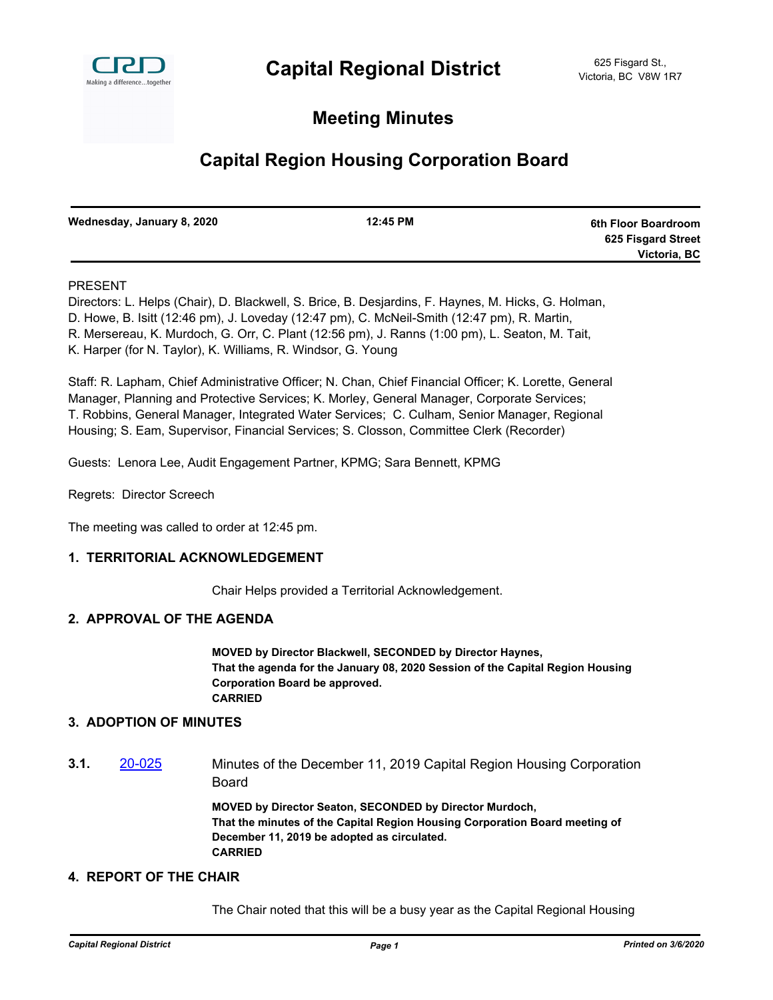

## **Meeting Minutes**

# **Capital Region Housing Corporation Board**

| Wednesday, January 8, 2020 | 12:45 PM | 6th Floor Boardroom |
|----------------------------|----------|---------------------|
|                            |          | 625 Fisgard Street  |
|                            |          | Victoria, BC        |

#### PRESENT

Directors: L. Helps (Chair), D. Blackwell, S. Brice, B. Desjardins, F. Haynes, M. Hicks, G. Holman, D. Howe, B. Isitt (12:46 pm), J. Loveday (12:47 pm), C. McNeil-Smith (12:47 pm), R. Martin, R. Mersereau, K. Murdoch, G. Orr, C. Plant (12:56 pm), J. Ranns (1:00 pm), L. Seaton, M. Tait, K. Harper (for N. Taylor), K. Williams, R. Windsor, G. Young

Staff: R. Lapham, Chief Administrative Officer; N. Chan, Chief Financial Officer; K. Lorette, General Manager, Planning and Protective Services; K. Morley, General Manager, Corporate Services; T. Robbins, General Manager, Integrated Water Services; C. Culham, Senior Manager, Regional Housing; S. Eam, Supervisor, Financial Services; S. Closson, Committee Clerk (Recorder)

Guests: Lenora Lee, Audit Engagement Partner, KPMG; Sara Bennett, KPMG

Regrets: Director Screech

The meeting was called to order at 12:45 pm.

#### **1. TERRITORIAL ACKNOWLEDGEMENT**

Chair Helps provided a Territorial Acknowledgement.

#### **2. APPROVAL OF THE AGENDA**

**MOVED by Director Blackwell, SECONDED by Director Haynes, That the agenda for the January 08, 2020 Session of the Capital Region Housing Corporation Board be approved. CARRIED**

#### **3. ADOPTION OF MINUTES**

**3.1.** [20-025](http://crd.ca.legistar.com/gateway.aspx?m=l&id=/matter.aspx?key=6159) Minutes of the December 11, 2019 Capital Region Housing Corporation Board

> **MOVED by Director Seaton, SECONDED by Director Murdoch, That the minutes of the Capital Region Housing Corporation Board meeting of December 11, 2019 be adopted as circulated. CARRIED**

#### **4. REPORT OF THE CHAIR**

The Chair noted that this will be a busy year as the Capital Regional Housing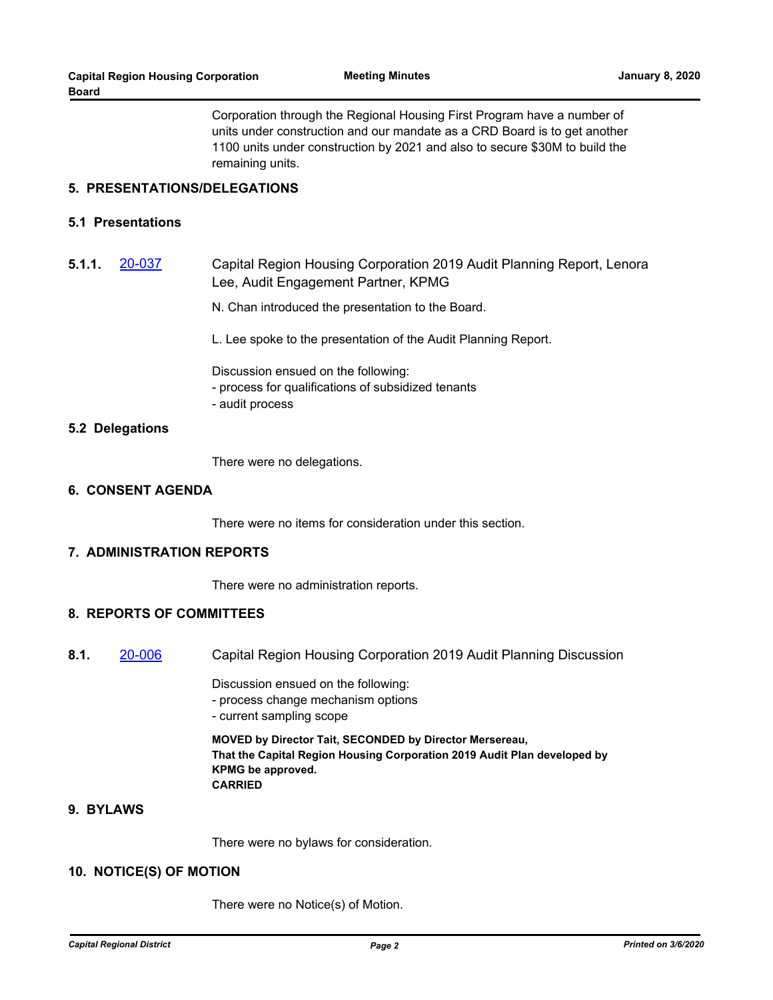Corporation through the Regional Housing First Program have a number of units under construction and our mandate as a CRD Board is to get another 1100 units under construction by 2021 and also to secure \$30M to build the remaining units.

#### **5. PRESENTATIONS/DELEGATIONS**

### **5.1 Presentations**

**5.1.1.** [20-037](http://crd.ca.legistar.com/gateway.aspx?m=l&id=/matter.aspx?key=6171) Capital Region Housing Corporation 2019 Audit Planning Report, Lenora Lee, Audit Engagement Partner, KPMG

N. Chan introduced the presentation to the Board.

L. Lee spoke to the presentation of the Audit Planning Report.

Discussion ensued on the following:

- process for qualifications of subsidized tenants
- audit process

#### **5.2 Delegations**

There were no delegations.

#### **6. CONSENT AGENDA**

There were no items for consideration under this section.

#### **7. ADMINISTRATION REPORTS**

There were no administration reports.

## **8. REPORTS OF COMMITTEES**

**8.1.** [20-006](http://crd.ca.legistar.com/gateway.aspx?m=l&id=/matter.aspx?key=6140) Capital Region Housing Corporation 2019 Audit Planning Discussion

Discussion ensued on the following:

- process change mechanism options
- current sampling scope

**MOVED by Director Tait, SECONDED by Director Mersereau, That the Capital Region Housing Corporation 2019 Audit Plan developed by KPMG be approved. CARRIED**

## **9. BYLAWS**

There were no bylaws for consideration.

### **10. NOTICE(S) OF MOTION**

There were no Notice(s) of Motion.